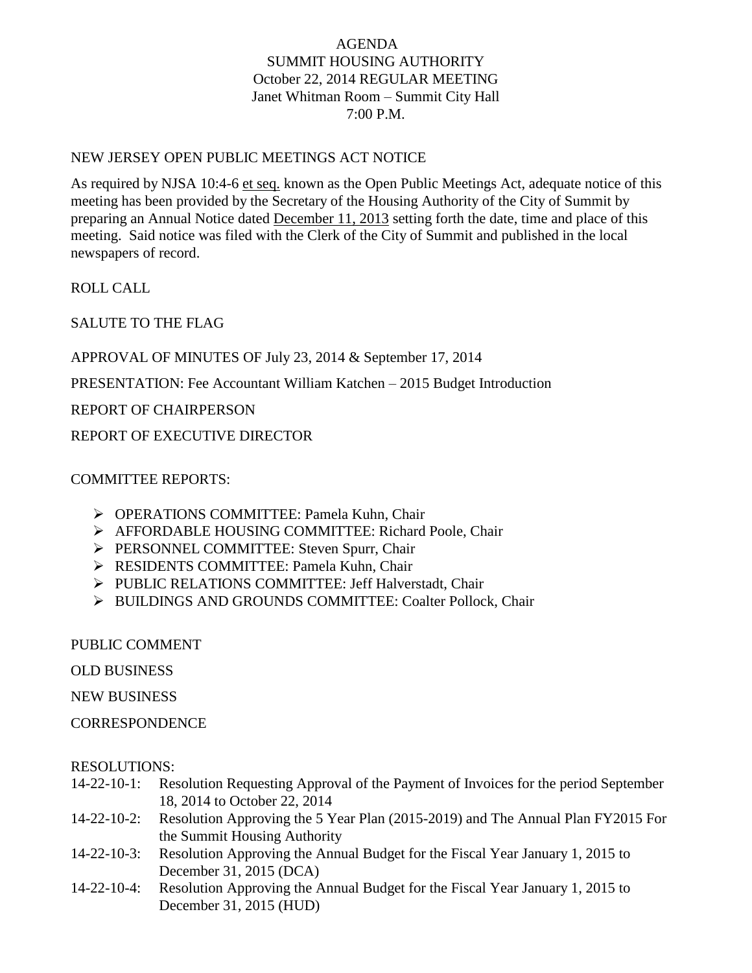# AGENDA SUMMIT HOUSING AUTHORITY October 22, 2014 REGULAR MEETING Janet Whitman Room – Summit City Hall 7:00 P.M.

#### NEW JERSEY OPEN PUBLIC MEETINGS ACT NOTICE

As required by NJSA 10:4-6 et seq. known as the Open Public Meetings Act, adequate notice of this meeting has been provided by the Secretary of the Housing Authority of the City of Summit by preparing an Annual Notice dated December 11, 2013 setting forth the date, time and place of this meeting. Said notice was filed with the Clerk of the City of Summit and published in the local newspapers of record.

ROLL CALL

SALUTE TO THE FLAG

APPROVAL OF MINUTES OF July 23, 2014 & September 17, 2014

PRESENTATION: Fee Accountant William Katchen – 2015 Budget Introduction

REPORT OF CHAIRPERSON

REPORT OF EXECUTIVE DIRECTOR

# COMMITTEE REPORTS:

- OPERATIONS COMMITTEE: Pamela Kuhn, Chair
- AFFORDABLE HOUSING COMMITTEE: Richard Poole, Chair
- PERSONNEL COMMITTEE: Steven Spurr, Chair
- **EXECUTE: Pamela Kuhn, Chair** Pamela Kuhn, Chair
- PUBLIC RELATIONS COMMITTEE: Jeff Halverstadt, Chair
- > BUILDINGS AND GROUNDS COMMITTEE: Coalter Pollock, Chair

PUBLIC COMMENT

OLD BUSINESS

NEW BUSINESS

**CORRESPONDENCE** 

#### RESOLUTIONS:

- 14-22-10-1: Resolution Requesting Approval of the Payment of Invoices for the period September 18, 2014 to October 22, 2014
- 14-22-10-2: Resolution Approving the 5 Year Plan (2015-2019) and The Annual Plan FY2015 For the Summit Housing Authority
- 14-22-10-3: Resolution Approving the Annual Budget for the Fiscal Year January 1, 2015 to December 31, 2015 (DCA)
- 14-22-10-4: Resolution Approving the Annual Budget for the Fiscal Year January 1, 2015 to December 31, 2015 (HUD)